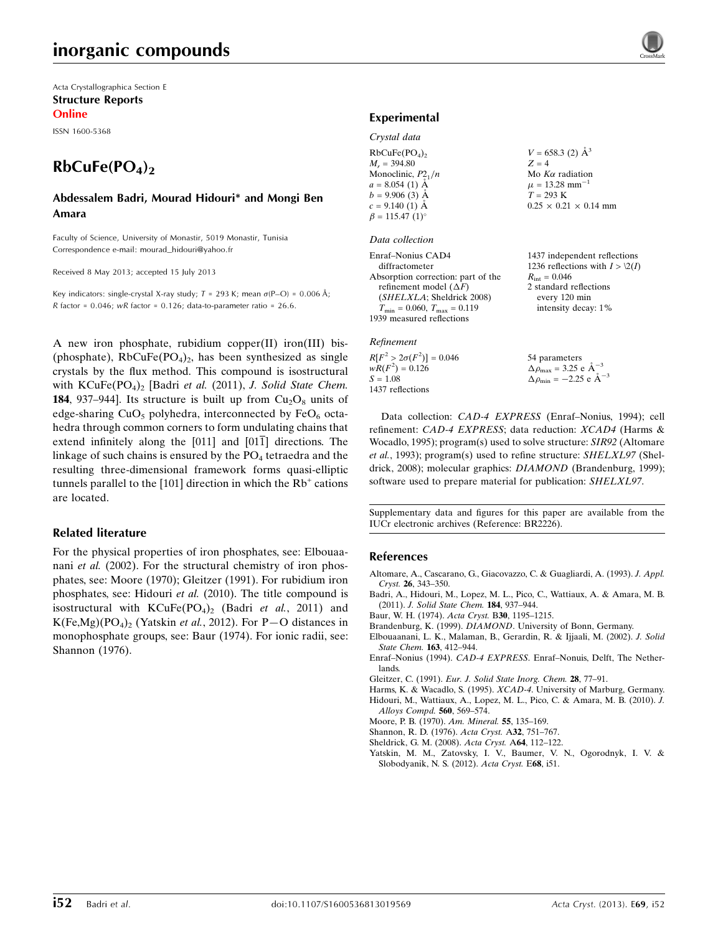# inorganic compounds

Acta Crystallographica Section E Structure Reports Online

ISSN 1600-5368

# $RbCuFe(PO<sub>4</sub>)<sub>2</sub>$

#### Abdessalem Badri, Mourad Hidouri\* and Mongi Ben Amara

Faculty of Science, University of Monastir, 5019 Monastir, Tunisia Correspondence e-mail: [mourad\\_hidouri@yahoo.fr](https://scripts.iucr.org/cgi-bin/cr.cgi?rm=pdfbb&cnor=br2226&bbid=BB13)

Received 8 May 2013; accepted 15 July 2013

Key indicators: single-crystal X-ray study;  $T = 293$  K; mean  $\sigma$ (P-O) = 0.006 Å;  $R$  factor = 0.046; wR factor = 0.126; data-to-parameter ratio = 26.6.

A new iron phosphate, rubidium copper(II) iron(III) bis- (phosphate),  $RbCuFe(PO<sub>4</sub>)<sub>2</sub>$ , has been synthesized as single crystals by the flux method. This compound is isostructural with  $KCuFe(PO<sub>4</sub>)<sub>2</sub>$  [Badri et al. (2011), J. Solid State Chem. 184, 937–944]. Its structure is built up from  $Cu<sub>2</sub>O<sub>8</sub>$  units of edge-sharing  $CuO<sub>5</sub>$  polyhedra, interconnected by FeO<sub>6</sub> octahedra through common corners to form undulating chains that extend infinitely along the  $[011]$  and  $[01\overline{1}]$  directions. The linkage of such chains is ensured by the  $PO<sub>4</sub>$  tetraedra and the resulting three-dimensional framework forms quasi-elliptic tunnels parallel to the  $[101]$  direction in which the  $Rb<sup>+</sup>$  cations are located.

#### Related literature

For the physical properties of iron phosphates, see: Elbouaanani *et al.* (2002). For the structural chemistry of iron phosphates, see: Moore (1970); Gleitzer (1991). For rubidium iron phosphates, see: Hidouri et al. (2010). The title compound is isostructural with  $KCuFe(PO<sub>4</sub>)<sub>2</sub>$  (Badri et al., 2011) and  $K(Fe, Mg)(PO<sub>4</sub>)<sub>2</sub>$  (Yatskin et al., 2012). For P-O distances in monophosphate groups, see: Baur (1974). For ionic radii, see: Shannon (1976).

#### Experimental

| Crystal data                          |  |
|---------------------------------------|--|
| RbCuFe(PO <sub>4</sub> ) <sub>2</sub> |  |
| $M_r = 394.80$                        |  |
| Monoclinic, $P2_1/n$                  |  |
| $a = 8.054(1)$ Å                      |  |
| $b = 9.906(3)$ Å                      |  |
| $c = 9.140(1)$ A                      |  |
| $\beta = 115.47$ (1) <sup>o</sup>     |  |

#### Data collection

Enraf–Nonius CAD4 diffractometer Absorption correction: part of the refinement model  $(\Delta F)$ (SHELXLA; Sheldrick 2008)  $T_{\text{min}} = 0.060, T_{\text{max}} = 0.119$ 1939 measured reflections

#### Refinement

 $R[F^2 > 2\sigma(F^2)] = 0.046$  $wR(F^2) = 0.126$  $S = 1.08$ 1437 reflections

 $V = 658.3$  (2)  $\AA^3$  $Z = 4$ Mo  $K\alpha$  radiation  $\mu = 13.28$  mm<sup>-1</sup>  $T = 293$  K  $0.25 \times 0.21 \times 0.14$  mm

1437 independent reflections 1236 reflections with  $I > \langle 2(I)$  $R_{\text{int}} = 0.046$ 2 standard reflections every 120 min intensity decay: 1%

54 parameters  $\Delta \rho_{\text{max}} = 3.25 \text{ e A}^{-3}$  $\Delta \rho_{\rm min} = -2.25 \text{ e } \text{\AA}^{-3}$ 

Data collection: CAD-4 EXPRESS (Enraf–Nonius, 1994); cell refinement: CAD-4 EXPRESS; data reduction: XCAD4 (Harms & Wocadlo, 1995); program(s) used to solve structure: SIR92 (Altomare et al., 1993); program(s) used to refine structure: SHELXL97 (Sheldrick, 2008); molecular graphics: DIAMOND (Brandenburg, 1999); software used to prepare material for publication: SHELXL97.

Supplementary data and figures for this paper are available from the IUCr electronic archives (Reference: BR2226).

#### References

- [Altomare, A., Cascarano, G., Giacovazzo, C. & Guagliardi, A. \(1993\).](https://scripts.iucr.org/cgi-bin/cr.cgi?rm=pdfbb&cnor=br2226&bbid=BB1) J. Appl. Cryst. 26[, 343–350.](https://scripts.iucr.org/cgi-bin/cr.cgi?rm=pdfbb&cnor=br2226&bbid=BB1)
- [Badri, A., Hidouri, M., Lopez, M. L., Pico, C., Wattiaux, A. & Amara, M. B.](https://scripts.iucr.org/cgi-bin/cr.cgi?rm=pdfbb&cnor=br2226&bbid=BB2) (2011). [J. Solid State Chem.](https://scripts.iucr.org/cgi-bin/cr.cgi?rm=pdfbb&cnor=br2226&bbid=BB2) 184, 937–944.
- [Baur, W. H. \(1974\).](https://scripts.iucr.org/cgi-bin/cr.cgi?rm=pdfbb&cnor=br2226&bbid=BB3) Acta Cryst. B30, 1195–1215.
- Brandenburg, K. (1999). DIAMOND[. University of Bonn, Germany.](https://scripts.iucr.org/cgi-bin/cr.cgi?rm=pdfbb&cnor=br2226&bbid=BB4)
- [Elbouaanani, L. K., Malaman, B., Gerardin, R. & Ijjaali, M. \(2002\).](https://scripts.iucr.org/cgi-bin/cr.cgi?rm=pdfbb&cnor=br2226&bbid=BB5) J. Solid
- [State Chem.](https://scripts.iucr.org/cgi-bin/cr.cgi?rm=pdfbb&cnor=br2226&bbid=BB5) 163, 412–944. Enraf–Nonius (1994). CAD-4 EXPRESS[. Enraf–Nonuis, Delft, The Nether](https://scripts.iucr.org/cgi-bin/cr.cgi?rm=pdfbb&cnor=br2226&bbid=BB9)[lands.](https://scripts.iucr.org/cgi-bin/cr.cgi?rm=pdfbb&cnor=br2226&bbid=BB9)
- Gleitzer, C. (1991). [Eur. J. Solid State Inorg. Chem.](https://scripts.iucr.org/cgi-bin/cr.cgi?rm=pdfbb&cnor=br2226&bbid=BB6) 28, 77–91.
- Harms, K. & Wacadlo, S. (1995). XCAD-4[. University of Marburg, Germany.](https://scripts.iucr.org/cgi-bin/cr.cgi?rm=pdfbb&cnor=br2226&bbid=BB10)
- [Hidouri, M., Wattiaux, A., Lopez, M. L., Pico, C. & Amara, M. B. \(2010\).](https://scripts.iucr.org/cgi-bin/cr.cgi?rm=pdfbb&cnor=br2226&bbid=BB7) J. [Alloys Compd.](https://scripts.iucr.org/cgi-bin/cr.cgi?rm=pdfbb&cnor=br2226&bbid=BB7) 560, 569–574.
- [Moore, P. B. \(1970\).](https://scripts.iucr.org/cgi-bin/cr.cgi?rm=pdfbb&cnor=br2226&bbid=BB8) Am. Mineral. 55, 135–169.
- [Shannon, R. D. \(1976\).](https://scripts.iucr.org/cgi-bin/cr.cgi?rm=pdfbb&cnor=br2226&bbid=BB11) Acta Cryst. A32, 751–767.
- [Sheldrick, G. M. \(2008\).](https://scripts.iucr.org/cgi-bin/cr.cgi?rm=pdfbb&cnor=br2226&bbid=BB12) Acta Cryst. A64, 112–122.
- [Yatskin, M. M., Zatovsky, I. V., Baumer, V. N., Ogorodnyk, I. V. &](https://scripts.iucr.org/cgi-bin/cr.cgi?rm=pdfbb&cnor=br2226&bbid=BB13) [Slobodyanik, N. S. \(2012\).](https://scripts.iucr.org/cgi-bin/cr.cgi?rm=pdfbb&cnor=br2226&bbid=BB13) Acta Cryst. E68, i51.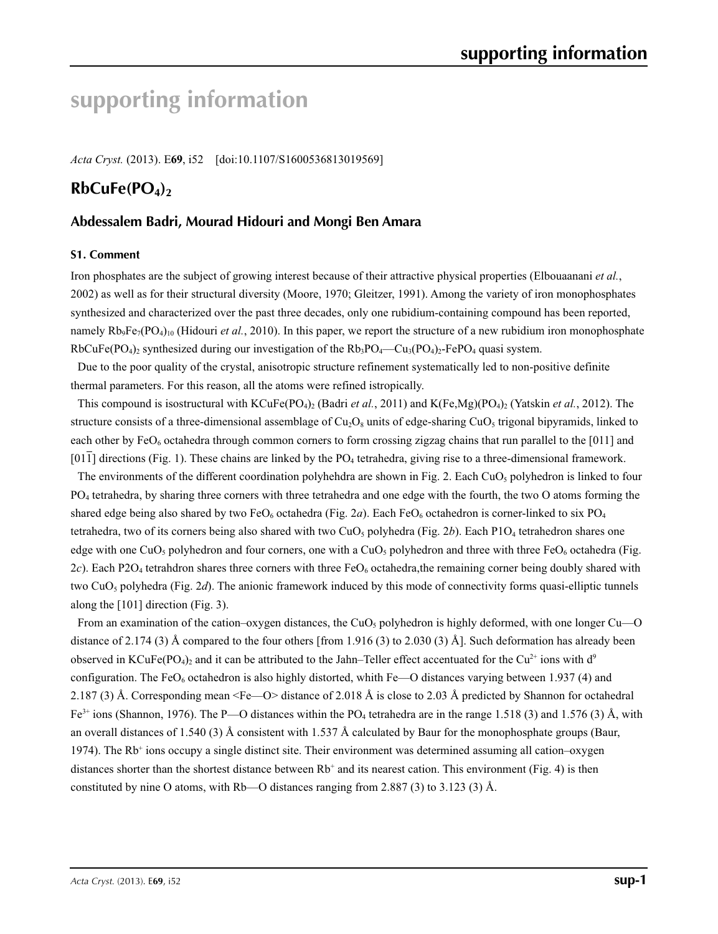# **supporting information**

*Acta Cryst.* (2013). E**69**, i52 [doi:10.1107/S1600536813019569]

# $RbCuFe(PO<sub>4</sub>)<sub>2</sub>$

### **Abdessalem Badri, Mourad Hidouri and Mongi Ben Amara**

#### **S1. Comment**

Iron phosphates are the subject of growing interest because of their attractive physical properties (Elbouaanani *et al.*, 2002) as well as for their structural diversity (Moore, 1970; Gleitzer, 1991). Among the variety of iron monophosphates synthesized and characterized over the past three decades, only one rubidium-containing compound has been reported, namely Rb<sub>9</sub>Fe<sub>7</sub>(PO<sub>4</sub>)<sub>10</sub> (Hidouri *et al.*, 2010). In this paper, we report the structure of a new rubidium iron monophosphate RbCuFe(PO<sub>4</sub>)<sub>2</sub> synthesized during our investigation of the  $Rb_3PO_4$ —Cu<sub>3</sub>(PO<sub>4</sub>)<sub>2</sub>-FePO<sub>4</sub> quasi system.

Due to the poor quality of the crystal, anisotropic structure refinement systematically led to non-positive definite thermal parameters. For this reason, all the atoms were refined istropically.

This compound is isostructural with KCuFe(PO<sub>4</sub>)<sub>2</sub> (Badri *et al.*, 2011) and K(Fe,Mg)(PO<sub>4</sub>)<sub>2</sub> (Yatskin *et al.*, 2012). The structure consists of a three-dimensional assemblage of  $Cu<sub>2</sub>O<sub>8</sub>$  units of edge-sharing  $CuO<sub>5</sub>$  trigonal bipyramids, linked to each other by  $FeO<sub>6</sub>$  octahedra through common corners to form crossing zigzag chains that run parallel to the [011] and [011] directions (Fig. 1). These chains are linked by the PO<sub>4</sub> tetrahedra, giving rise to a three-dimensional framework.

The environments of the different coordination polyhehdra are shown in Fig. 2. Each CuO<sub>5</sub> polyhedron is linked to four PO4 tetrahedra, by sharing three corners with three tetrahedra and one edge with the fourth, the two O atoms forming the shared edge being also shared by two FeO<sub>6</sub> octahedra (Fig. 2*a*). Each FeO<sub>6</sub> octahedron is corner-linked to six PO<sub>4</sub> tetrahedra, two of its corners being also shared with two CuO<sub>5</sub> polyhedra (Fig. 2b). Each P1O<sub>4</sub> tetrahedron shares one edge with one CuO<sub>5</sub> polyhedron and four corners, one with a CuO<sub>5</sub> polyhedron and three with three FeO<sub>6</sub> octahedra (Fig. 2*c*). Each P2O<sub>4</sub> tetrahdron shares three corners with three FeO<sub>6</sub> octahedra, the remaining corner being doubly shared with two CuO<sub>5</sub> polyhedra (Fig. 2*d*). The anionic framework induced by this mode of connectivity forms quasi-elliptic tunnels along the [101] direction (Fig. 3).

From an examination of the cation–oxygen distances, the CuO<sub>5</sub> polyhedron is highly deformed, with one longer Cu—O distance of 2.174 (3) Å compared to the four others [from 1.916 (3) to 2.030 (3) Å]. Such deformation has already been observed in KCuFe(PO<sub>4</sub>)<sub>2</sub> and it can be attributed to the Jahn–Teller effect accentuated for the Cu<sup>2+</sup> ions with d<sup>9</sup> configuration. The FeO<sub>6</sub> octahedron is also highly distorted, whith Fe—O distances varying between 1.937 (4) and 2.187 (3) Å. Corresponding mean <Fe—O> distance of 2.018 Å is close to 2.03 Å predicted by Shannon for octahedral  $Fe<sup>3+</sup>$  ions (Shannon, 1976). The P—O distances within the PO<sub>4</sub> tetrahedra are in the range 1.518 (3) and 1.576 (3) Å, with an overall distances of 1.540 (3) Å consistent with 1.537 Å calculated by Baur for the monophosphate groups (Baur, 1974). The Rb+ ions occupy a single distinct site. Their environment was determined assuming all cation–oxygen distances shorter than the shortest distance between  $Rb^+$  and its nearest cation. This environment (Fig. 4) is then constituted by nine O atoms, with Rb—O distances ranging from 2.887 (3) to 3.123 (3) Å.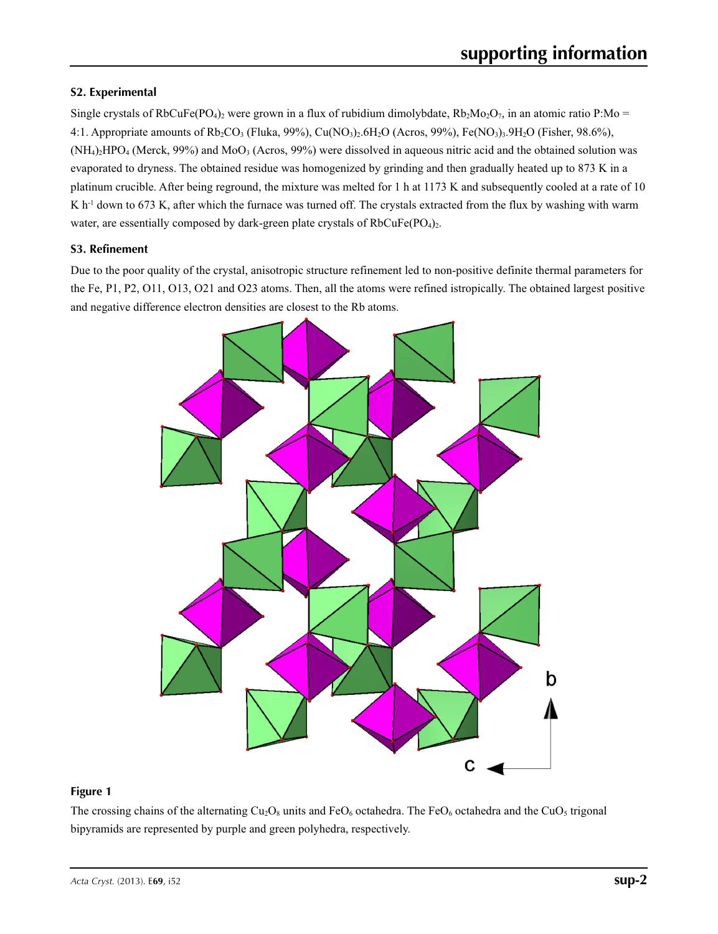### **S2. Experimental**

Single crystals of RbCuFe(PO<sub>4</sub>)<sub>2</sub> were grown in a flux of rubidium dimolybdate,  $Rb_2Mo_2O_7$ , in an atomic ratio P:Mo = 4:1. Appropriate amounts of Rb<sub>2</sub>CO<sub>3</sub> (Fluka, 99%), Cu(NO<sub>3</sub>)<sub>2</sub>.6H<sub>2</sub>O (Acros, 99%), Fe(NO<sub>3</sub>)<sub>3</sub>.9H<sub>2</sub>O (Fisher, 98.6%), (NH4)2HPO4 (Merck, 99%) and MoO3 (Acros, 99%) were dissolved in aqueous nitric acid and the obtained solution was evaporated to dryness. The obtained residue was homogenized by grinding and then gradually heated up to 873 K in a platinum crucible. After being reground, the mixture was melted for 1 h at 1173 K and subsequently cooled at a rate of 10 K h<sup>-1</sup> down to 673 K, after which the furnace was turned off. The crystals extracted from the flux by washing with warm water, are essentially composed by dark-green plate crystals of  $RbCuFe(PO<sub>4</sub>)<sub>2</sub>$ .

### **S3. Refinement**

Due to the poor quality of the crystal, anisotropic structure refinement led to non-positive definite thermal parameters for the Fe, P1, P2, O11, O13, O21 and O23 atoms. Then, all the atoms were refined istropically. The obtained largest positive and negative difference electron densities are closest to the Rb atoms.



#### **Figure 1**

The crossing chains of the alternating Cu<sub>2</sub>O<sub>8</sub> units and FeO<sub>6</sub> octahedra. The FeO<sub>6</sub> octahedra and the CuO<sub>5</sub> trigonal bipyramids are represented by purple and green polyhedra, respectively.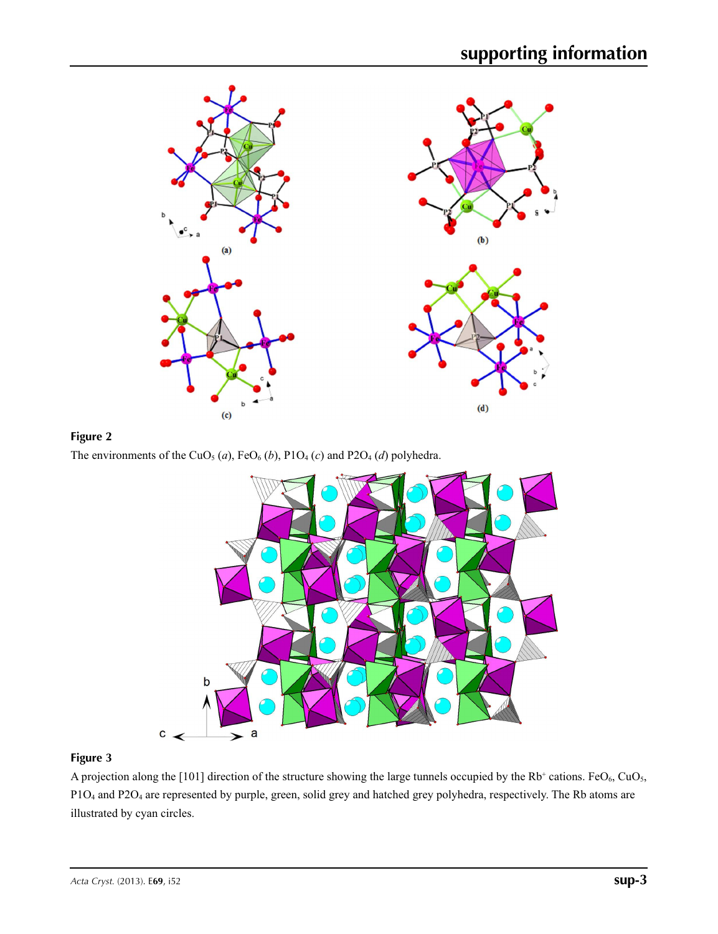

## **Figure 2**

The environments of the CuO<sub>5</sub> (*a*), FeO<sub>6</sub> (*b*), P1O<sub>4</sub> (*c*) and P2O<sub>4</sub> (*d*) polyhedra.



### **Figure 3**

A projection along the [101] direction of the structure showing the large tunnels occupied by the  $Rb^+$  cations. FeO<sub>6</sub>, CuO<sub>5</sub>, P1O4 and P2O4 are represented by purple, green, solid grey and hatched grey polyhedra, respectively. The Rb atoms are illustrated by cyan circles.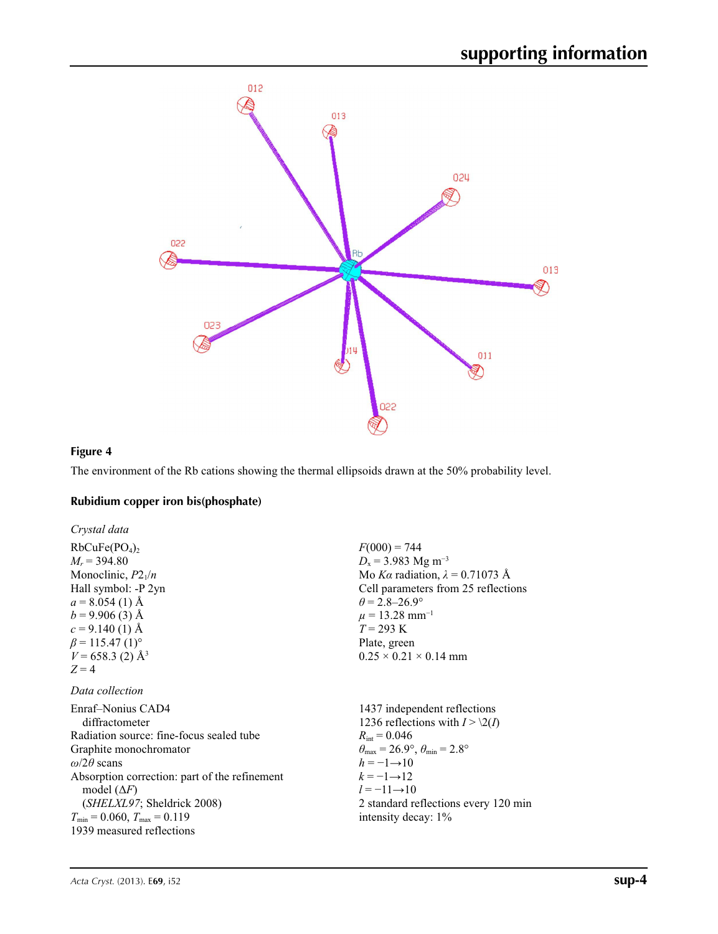

## **Figure 4**

The environment of the Rb cations showing the thermal ellipsoids drawn at the 50% probability level.

## **Rubidium copper iron bis(phosphate)**

| Crystal data                                  |                                                                      |
|-----------------------------------------------|----------------------------------------------------------------------|
| RbCuFe(PO <sub>4</sub> ) <sub>2</sub>         | $F(000) = 744$                                                       |
| $M_r = 394.80$                                | $D_x = 3.983$ Mg m <sup>-3</sup>                                     |
| Monoclinic, $P2_1/n$                          | Mo Ka radiation, $\lambda = 0.71073$ Å                               |
| Hall symbol: -P 2yn                           | Cell parameters from 25 reflections                                  |
| $a = 8.054(1)$ Å                              | $\theta$ = 2.8–26.9°                                                 |
| $b = 9.906(3)$ Å                              | $\mu = 13.28$ mm <sup>-1</sup>                                       |
| $c = 9.140(1)$ Å                              | $T = 293 \text{ K}$                                                  |
| $\beta$ = 115.47 (1) <sup>o</sup>             | Plate, green                                                         |
| $V = 658.3$ (2) Å <sup>3</sup>                | $0.25 \times 0.21 \times 0.14$ mm                                    |
| $Z = 4$                                       |                                                                      |
| Data collection                               |                                                                      |
| Enraf-Nonius CAD4                             | 1437 independent reflections                                         |
| diffractometer                                | 1236 reflections with $I > \langle 2(I)$                             |
| Radiation source: fine-focus sealed tube      | $R_{\rm int} = 0.046$                                                |
| Graphite monochromator                        | $\theta_{\rm max} = 26.9^{\circ}$ , $\theta_{\rm min} = 2.8^{\circ}$ |
| $\omega/2\theta$ scans                        | $h = -1 \rightarrow 10$                                              |
| Absorption correction: part of the refinement | $k=-1 \rightarrow 12$                                                |
| model $(\Delta F)$                            | $l = -11 \rightarrow 10$                                             |
| (SHELXL97; Sheldrick 2008)                    | 2 standard reflections every 120 min                                 |
| $T_{\min}$ = 0.060, $T_{\max}$ = 0.119        | intensity decay: 1%                                                  |
| 1939 measured reflections                     |                                                                      |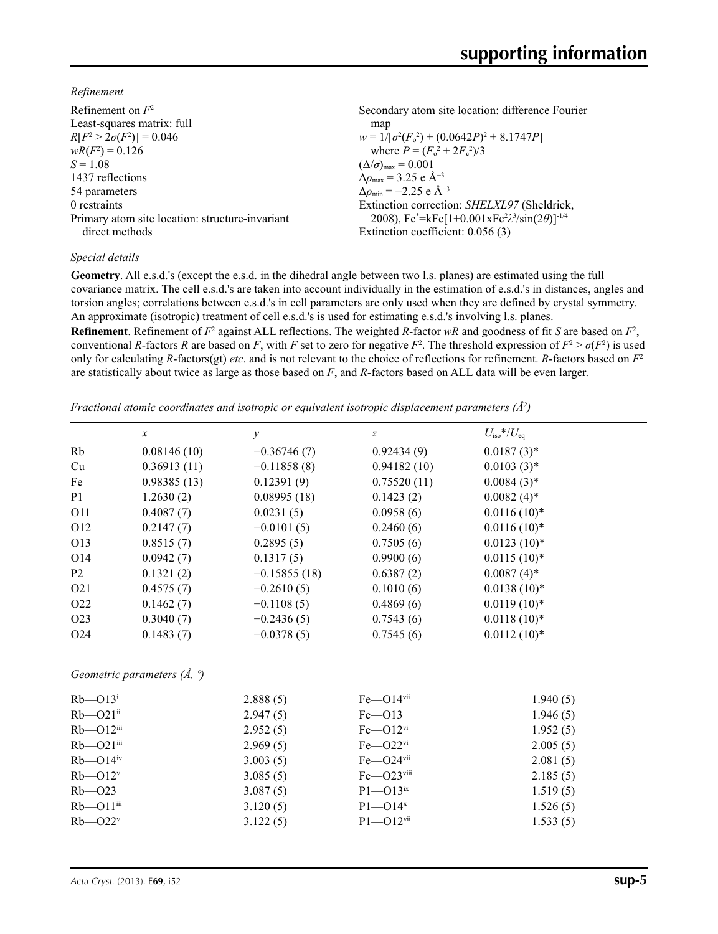*Refinement*

| Secondary atom site location: difference Fourier                                                 |
|--------------------------------------------------------------------------------------------------|
| map                                                                                              |
| $w = 1/[\sigma^2(F_0^2) + (0.0642P)^2 + 8.1747P]$                                                |
| where $P = (F_0^2 + 2F_c^2)/3$                                                                   |
| $(\Delta/\sigma)_{\text{max}} = 0.001$                                                           |
| $\Delta\rho_{\rm max}$ = 3.25 e Å <sup>-3</sup>                                                  |
| $\Delta\rho_{\rm min} = -2.25$ e Å <sup>-3</sup>                                                 |
| Extinction correction: SHELXL97 (Sheldrick,                                                      |
| 2008), Fc*=kFc[1+0.001xFc <sup>2</sup> $\lambda$ <sup>3</sup> /sin(2 $\theta$ )] <sup>-1/4</sup> |
| Extinction coefficient: 0.056 (3)                                                                |
|                                                                                                  |

#### *Special details*

**Geometry**. All e.s.d.'s (except the e.s.d. in the dihedral angle between two l.s. planes) are estimated using the full covariance matrix. The cell e.s.d.'s are taken into account individually in the estimation of e.s.d.'s in distances, angles and torsion angles; correlations between e.s.d.'s in cell parameters are only used when they are defined by crystal symmetry. An approximate (isotropic) treatment of cell e.s.d.'s is used for estimating e.s.d.'s involving l.s. planes.

**Refinement**. Refinement of  $F^2$  against ALL reflections. The weighted R-factor wR and goodness of fit *S* are based on  $F^2$ , conventional *R*-factors *R* are based on *F*, with *F* set to zero for negative  $F^2$ . The threshold expression of  $F^2 > \sigma(F^2)$  is used only for calculating *R*-factors(gt) *etc*. and is not relevant to the choice of reflections for refinement. *R*-factors based on *F*<sup>2</sup> are statistically about twice as large as those based on *F*, and *R*-factors based on ALL data will be even larger.

*Fractional atomic coordinates and isotropic or equivalent isotropic displacement parameters (Å2 )*

|                  | $\mathcal{X}$ | y              | Ζ           | $U_{\rm iso}*/U_{\rm eq}$ |
|------------------|---------------|----------------|-------------|---------------------------|
| Rb               | 0.08146(10)   | $-0.36746(7)$  | 0.92434(9)  | $0.0187(3)$ *             |
| Cu               | 0.36913(11)   | $-0.11858(8)$  | 0.94182(10) | $0.0103(3)^*$             |
| Fe               | 0.98385(13)   | 0.12391(9)     | 0.75520(11) | $0.0084(3)*$              |
| P <sub>1</sub>   | 1.2630(2)     | 0.08995(18)    | 0.1423(2)   | $0.0082(4)$ *             |
| O11              | 0.4087(7)     | 0.0231(5)      | 0.0958(6)   | $0.0116(10)*$             |
| O <sub>12</sub>  | 0.2147(7)     | $-0.0101(5)$   | 0.2460(6)   | $0.0116(10)*$             |
| O13              | 0.8515(7)     | 0.2895(5)      | 0.7505(6)   | $0.0123(10)*$             |
| O <sub>14</sub>  | 0.0942(7)     | 0.1317(5)      | 0.9900(6)   | $0.0115(10)^*$            |
| P <sub>2</sub>   | 0.1321(2)     | $-0.15855(18)$ | 0.6387(2)   | $0.0087(4)$ *             |
| O <sub>2</sub> 1 | 0.4575(7)     | $-0.2610(5)$   | 0.1010(6)   | $0.0138(10)*$             |
| O <sub>22</sub>  | 0.1462(7)     | $-0.1108(5)$   | 0.4869(6)   | $0.0119(10)*$             |
| O <sub>2</sub> 3 | 0.3040(7)     | $-0.2436(5)$   | 0.7543(6)   | $0.0118(10)*$             |
| O <sub>24</sub>  | 0.1483(7)     | $-0.0378(5)$   | 0.7545(6)   | $0.0112(10)*$             |

*Geometric parameters (Å, º)*

| $Rb - O13$ <sup>i</sup>     | 2.888(5) | $Fe$ - $O14$ <sup>vii</sup> | 1.940(5) |  |
|-----------------------------|----------|-----------------------------|----------|--|
| $Rb - O21$ <sup>ii</sup>    | 2.947(5) | $Fe$ -013                   | 1.946(5) |  |
| $Rb$ — $O12$ <sup>iii</sup> | 2.952(5) | $Fe$ - $O12$ <sup>vi</sup>  | 1.952(5) |  |
| $Rb$ — $O21$ <sup>iii</sup> | 2.969(5) | $Fe$ - $O22$ <sup>vi</sup>  | 2.005(5) |  |
| $Rb$ — $O14$ <sup>iv</sup>  | 3.003(5) | $Fe$ - $O24$ <sup>vii</sup> | 2.081(5) |  |
| $Rb$ — $O12v$               | 3.085(5) | $Fe - O23$ <sup>viii</sup>  | 2.185(5) |  |
| $Rb - 023$                  | 3.087(5) | $P1 - O13$ <sup>ix</sup>    | 1.519(5) |  |
| $Rb$ — $O11$ <sup>iii</sup> | 3.120(5) | $P1 - O14^{x}$              | 1.526(5) |  |
| $Rb - O22v$                 | 3.122(5) | $P1 - O12$ <sup>vii</sup>   | 1.533(5) |  |
|                             |          |                             |          |  |